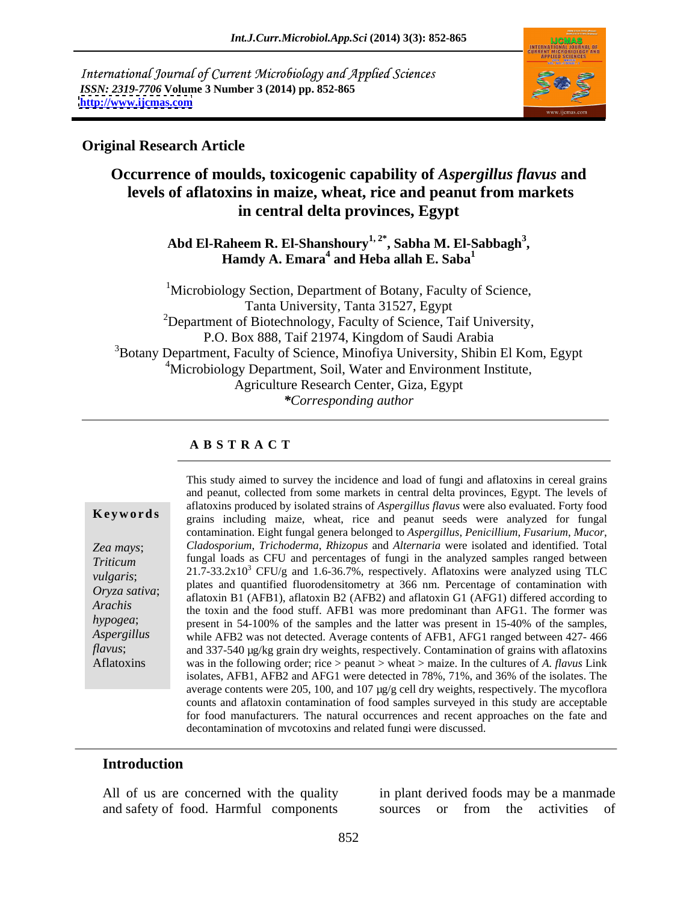International Journal of Current Microbiology and Applied Sciences *ISSN: 2319-7706* **Volume 3 Number 3 (2014) pp. 852-865 <http://www.ijcmas.com>**



## **Original Research Article**

# **Occurrence of moulds, toxicogenic capability of** *Aspergillus flavus* **and levels of aflatoxins in maize, wheat, rice and peanut from markets in central delta provinces, Egypt**

Abd El-Raheem R. El-Shanshoury<sup>1, 2\*</sup>, Sabha M. El-Sabbagh<sup>3</sup>,<br>Hamdy A. Emara<sup>4</sup> and Heba allah E. Saba<sup>1</sup>

<sup>1</sup>Microbiology Section, Department of Botany, Faculty of Science, Tanta University, Tanta 31527, Egypt  $2D$ epartment of Biotechnology, Faculty of Science, Taif University, P.O. Box 888, Taif 21974, Kingdom of Saudi Arabia  $3B$ Otany Department, Faculty of Science, Minofiya University, Shibin El Kom, Egypt <sup>4</sup>Microbiology Department, Soil, Water and Environment Institute, Agriculture Research Center, Giza, Egypt *\*Corresponding author* 

## **A B S T R A C T**

**Keywords** analyzed grains including maize, wheat, rice and peanut seeds were analyzed for fungal *Zea mays*; *Cladosporium*, *Trichoderma*, *Rhizopus* and *Alternaria* were isolated and identified. Total *Triticum* fungal loads as CFU and percentages of fungi in the analyzed samples ranged between *vulgaris*;  $21.7-33.2x10^3$  CFU/g and  $1.6-36.7%$ , respectively. Aflatoxins were analyzed using TLC *Oryza sativa*; have and quantified indoodensitioned y at 500 film. Fertenage of contamination with aflatoxin B1 (AFB1), aflatoxin B2 (AFB2) and aflatoxin G1 (AFG1) differed according to *Arachis* the toxin and the food stuff. AFB1 was more predominant than AFG1. The former was *hypogea*; present in 54-100% of the samples and the latter was present in 15-40% of the samples, *Aspergillus*  while AFB2 was not detected. Average contents of AFB1, AFG1 ranged between 427- 466 *flavus*; and 337-540 µg/kg grain dry weights, respectively. Contamination of grains with aflatoxins Aflatoxins was in the following order; rice > peanut > wheat > maize. In the cultures of *A. flavus* Link This study aimed to survey the incidence and load of fungi and aflatoxins in cereal grains and peanut, collected from some markets in central delta provinces, Egypt. The levels of aflatoxins produced by isolated strains of *Aspergillus flavus* were also evaluated. Forty food contamination. Eight fungal genera belonged to *Aspergillus*, *Penicillium*, *Fusarium*, *Mucor*, plates and quantified fluorodensitometry at 366 nm. Percentage of contamination with isolates, AFB1, AFB2 and AFG1 were detected in 78%, 71%, and 36% of the isolates. The average contents were 205, 100, and 107 µg/g cell dry weights, respectively. The mycoflora counts and aflatoxin contamination of food samples surveyed in this study are acceptable for food manufacturers. The natural occurrences and recent approaches on the fate and decontamination of mycotoxins and related fungi were discussed.

## **Introduction**

All of us are concerned with the quality

and safety of food. Harmful components in plant derived foods may be a manmade sources or from the activities of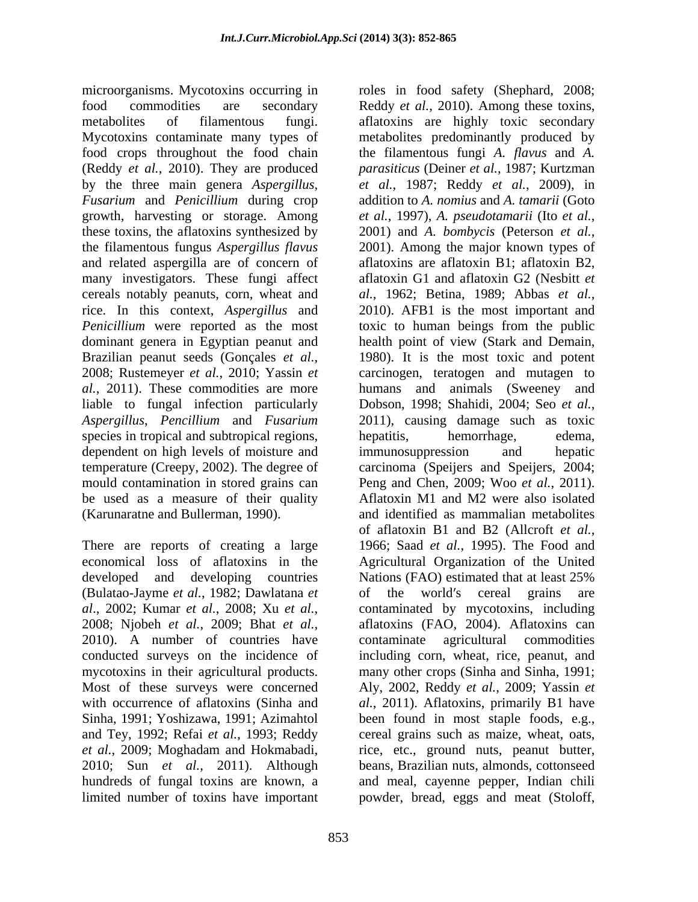microorganisms. Mycotoxins occurring in roles in food safety (Shephard, 2008; food crops throughout the food chain (Reddy *et al.*, 2010). They are produced *Fusarium* and *Penicillium* during crop growth, harvesting or storage. Among *et al.*, 1997), A. *pseudotamarii* (Ito *et al.*, these toxins, the aflatoxins synthesized by 2001) and A. bombycis (Peterson et al., the filamentous fungus *Aspergillus flavus* and related aspergilla are of concern of many investigators. These fungi affect cereals notably peanuts, corn, wheat and al., 1962; Betina, 1989; Abbas et al., rice. In this context, *Aspergillus* and liable to fungal infection particularly Dobson, 1998; Shahidi, 2004; Seo et al., *Aspergillus*, *Pencillium* and *Fusarium* species in tropical and subtropical regions, hepatitis, hemorrhage, edema, dependent on high levels of moisture and immunosuppression and hepatic be used as a measure of their quality

There are reports of creating a large 1966; Saad *et al.*, 1995). The Food and developed and developing countries Nations (FAO) estimated that at least 25% (Bulatao-Jayme *et al.*, 1982; Dawlatana *et*  limited number of toxins have important powder, bread, eggs and meat (Stoloff,

food commodities are secondary Reddy *et al.*, 2010). Among these toxins, metabolites of filamentous fungi. aflatoxins are highly toxic secondary Mycotoxins contaminate many types of metabolites predominantly produced by by the three main genera *Aspergillus*, *et al.*, 1987; Reddy *et al.*, 2009), in *Penicillium* were reported as the most toxic to human beings from the public dominant genera in Egyptian peanut and health point of view (Stark and Demain, Brazilian peanut seeds (Gonçales *et al.*, 1980). It is the most toxic and potent 2008; Rustemeyer *et al.*, 2010; Yassin *et* carcinogen, teratogen and mutagen to *al.*, 2011). These commodities are more humans and animals (Sweeney and temperature (Creepy, 2002). The degree of carcinoma (Speijers and Speijers, 2004; mould contamination in stored grains can Peng and Chen, 2009; Woo *et al.*, 2011). (Karunaratne and Bullerman, 1990). and identified as mammalian metabolites economical loss of aflatoxins in the Agricultural Organization of the United *al*., 2002; Kumar *et al.*, 2008; Xu *et al.*, 2008; Njobeh *et al.*, 2009; Bhat *et al.*, 2010). <sup>A</sup> number of countries have conducted surveys on the incidence of including corn, wheat, rice, peanut, and mycotoxins in their agricultural products. many other crops (Sinha and Sinha, 1991; Most of these surveys were concerned Aly, 2002, Reddy *et al.*, 2009; Yassin *et*  with occurrence of aflatoxins (Sinha and al., 2011). Aflatoxins, primarily B1 have Sinha, 1991; Yoshizawa, 1991; Azimahtol been found in most staple foods, e.g., and Tey, 1992; Refai *et al.*, 1993; Reddy cereal grains such as maize, wheat, oats, *et al.*, 2009; Moghadam and Hokmabadi, rice, etc., ground nuts, peanut butter, 2010; Sun *et al.*, 2011). Although beans, Brazilian nuts, almonds, cottonseed hundreds of fungal toxins are known, a and meal, cayenne pepper, Indian chili the filamentous fungi *A. flavus* and *A. parasiticus* (Deiner *et al.*, 1987; Kurtzman addition to *A. nomius* and *A. tamarii* (Goto *et al.*, 1997), *A. pseudotamarii* (Ito *et al.*, 2001) and *A. bombycis* (Peterson *et al.*, 2001). Among the major known types of aflatoxins are aflatoxin B1; aflatoxin B2, aflatoxin G1 and aflatoxin G2 (Nesbitt *et al.*, 1962; Betina, 1989; Abbas *et al.*, 2010). AFB1 is the most important and 1980). It is the most toxic and potent carcinogen, teratogen and mutagen to Dobson, 1998; Shahidi, 2004; Seo *et al.*, 2011), causing damage such as toxic hepatitis, hemorrhage, edema, immunosuppression and hepatic Aflatoxin M1 and M2 were also isolated of aflatoxin B1 and B2 (Allcroft *et al.*, 1966; Saad *et al.*, 1995). The Food and Nations (FAO) estimated that at least 25% of the world's cereal grains are contaminated by mycotoxins, including aflatoxins (FAO, 2004). Aflatoxins can contaminate agricultural commodities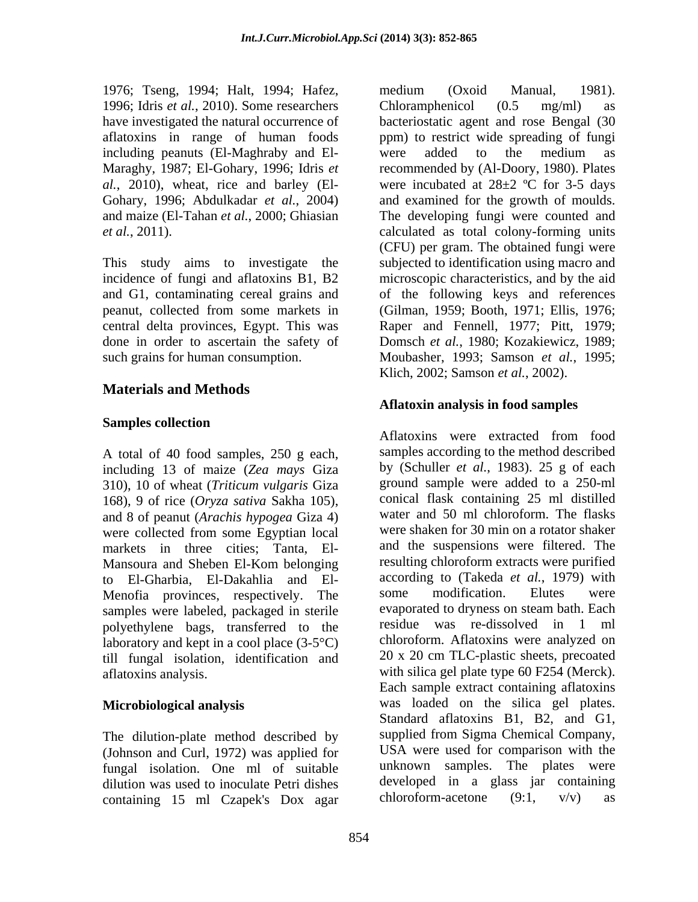1976; Tseng, 1994; Halt, 1994; Hafez, 1996; Idris *et al.*, 2010). Some researchers Chloramphenicol (0.5 mg/ml) as including peanuts (El-Maghraby and El-

This study aims to investigate the

# **Materials and Methods**

## **Samples collection**

A total of 40 food samples, 250 g each, including 13 of maize (*Zea mays* Giza 310), 10 of wheat (*Triticum vulgaris* Giza 168), 9 of rice (*Oryza sativa* Sakha 105), and 8 of peanut (*Arachis hypogea* Giza 4) were collected from some Egyptian local markets in three cities; Tanta, El- Mansoura and Sheben El-Kom belonging to El-Gharbia, El-Dakahlia and El-<br>Menofia provinces respectively The some modification. Elutes were Menofia provinces, respectively. The samples were labeled, packaged in sterile polyethylene bags, transferred to the laboratory and kept in a cool place  $(3-5^{\circ}C)$ till fungal isolation, identification and

The dilution-plate method described by (Johnson and Curl, 1972) was applied for fungal isolation. One ml of suitable dilution was used to inoculate Petri dishes developed in a glass jar containing 15 ml Czapek's Dox agar chloroform-acetone (9:1,  $v/v$ ) containing 15 ml Czapek's Dox agar chloroform-acetone  $(9:1, v/v)$  as

have investigated the natural occurrence of bacteriostatic agent and rose Bengal (30 aflatoxins in range of human foods ppm) to restrict wide spreading of fungi Maraghy, 1987; El-Gohary, 1996; Idris *et*  recommended by (Al-Doory, 1980). Plates *al.*, 2010), wheat, rice and barley (El- were incubated at  $28\pm2$  °C for 3-5 days Gohary, 1996; Abdulkadar *et al.*, 2004) and examined for the growth of moulds. and maize (El-Tahan *et al.*, 2000; Ghiasian The developing fungi were counted and *et al.*, 2011). calculated as total colony-forming units incidence of fungi and aflatoxins B1, B2 microscopic characteristics, and by the aid and G1, contaminating cereal grains and of the following keys and references peanut, collected from some markets in (Gilman, 1959; Booth, 1971; Ellis, 1976; central delta provinces, Egypt. This was Raper and Fennell, 1977; Pitt, 1979; done in order to ascertain the safety of Domsch *et al.*, 1980; Kozakiewicz,1989; such grains for human consumption. Moubasher, 1993; Samson *et al.*, 1995; medium (Oxoid Manual, 1981). Chloramphenicol (0.5 mg/ml) as were added to the medium as (CFU) per gram. The obtained fungi were subjected to identification using macro and Klich, 2002; Samson *et al.*, 2002).

# **Aflatoxin analysis in food samples**

aflatoxins analysis. with silica gel plate type 60 F254 (Merck). **Microbiological analysis** was loaded on the silica gel plates. Aflatoxins were extracted from food samples according to the method described by (Schuller *et al.*, 1983). 25 g of each ground sample were added to a 250-ml conical flask containing 25 ml distilled water and 50 ml chloroform. The flasks were shaken for 30 min on a rotator shaker and the suspensions were filtered. The resulting chloroform extracts were purified according to (Takeda *et al.*, 1979) with some modification. Elutes were evaporated to dryness on steam bath. Each residue was re-dissolved in 1 ml chloroform. Aflatoxins were analyzed on 20 x 20 cm TLC-plastic sheets, precoated Each sample extract containing aflatoxins Standard aflatoxins B1, B2, and G1, supplied from Sigma Chemical Company, USA were used for comparison with the unknown samples. The plates were developed in a glass jar containing chloroform-acetone  $(9:1, v/v)$  as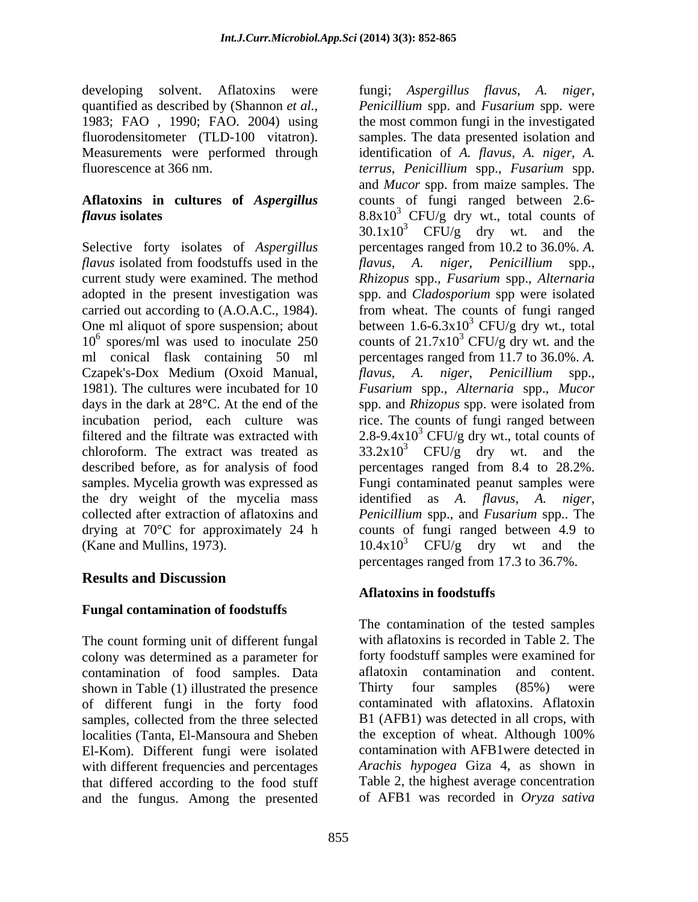developing solvent. Aflatoxins were fungi; *Aspergillus flavus*, *A. niger*, fluorodensitometer (TLD-100 vitatron).

# **Aflatoxins in cultures of** *Aspergillus*

Selective forty isolates of *Aspergillus*  percentages ranged from 10.2 to 36.0%. *A. flavus* isolated from foodstuffs used in the *flavus*, *A. niger*, *Penicillium* spp., current study were examined. The method *Rhizopus* spp.*, Fusarium* spp.*, Alternaria* adopted in the present investigation was carried out according to (A.O.A.C., 1984). One ml aliquot of spore suspension; about between  $1.6-6.3x10^3$  CFU/g dry wt., total  $10^6$  spores/ml was used to inoculate 250 counts of 21.7x10<sup>3</sup> CFU/g dry wt. and the ml conical flask containing 50 ml percentages ranged from 11.7 to 36.0%. *A.*  Czapek's-Dox Medium (Oxoid Manual, *flavus*, *A. niger*, *Penicillium* spp., 1981). The cultures were incubated for 10 *Fusarium* spp., *Alternaria* spp., *Mucor* days in the dark at 28°C. At the end of the spp. and *Rhizopus* spp. were isolated from incubation period, each culture was rice. The counts of fungi ranged between filtered and the filtrate was extracted with  $2.8-9.4x10^3$  CFU/g dry wt., total counts of chloroform. The extract was treated as  $33.2 \times 10^3$  CFU/g dry wt. and the described before, as for analysis of food percentages ranged from 8.4 to 28.2%. samples. Mycelia growth was expressed as Fungi contaminated peanut samples were the dry weight of the mycelia mass identified as *A. flavus*, *A. niger*, collected after extraction of aflatoxins and *Penicillium* spp., and *Fusarium* spp.. The drying at 70<sup>o</sup>C for approximately 24 h counts of fungi ranged between 4.9 to (Kane and Mullins, 1973).  $10.4x10^3$  CFU/g dry wt and the

# **Results and Discussion**

# **Fungal contamination of foodstuffs**

The count forming unit of different fungal colony was determined as a parameter for contamination of food samples. Data shown in Table (1) illustrated the presence Thirty four samples (85%) were of different fungi in the forty food samples, collected from the three selected El-Kom). Different fungi were isolated with different frequencies and percentages that differed according to the food stuff and the fungus. Among the presented

quantified as described by (Shannon *et al.*, *Penicillium* spp. and *Fusarium* spp. were 1983; FAO , 1990; FAO. 2004) using the most common fungi in the investigated Measurements were performed through identification of *A. flavus*, *A. niger*, *A.*  fluorescence at 366 nm. *terrus*, *Penicillium* spp., *Fusarium* spp. *flavus* isolates 8.8x10<sup>3</sup> CFU/g dry wt., total counts of *Penicillium* spp. and *Fusarium* spp. were the most common fungi in the investigated samples. The data presented isolation and and *Mucor* spp. from maize samples. The counts of fungi ranged between 2.6-  $30.1x10^3$  CFU/g dry wt. and the spp. and *Cladosporium* spp were isolated from wheat. The counts of fungi ranged  $3$  CFU/g dry wt. and the percentages ranged from 17.3 to 36.7%.

# **Aflatoxins in foodstuffs**

localities (Tanta, El-Mansoura and Sheben the exception of wheat. Although 100% The contamination of the tested samples with aflatoxins is recorded in Table 2. The forty foodstuff samples were examined for aflatoxin contamination and content. Thirty four samples (85%) were contaminated with aflatoxins. Aflatoxin B1 (AFB1) was detected in all crops, with contamination with AFB1were detected in *Arachis hypogea* Giza 4, as shown in Table 2, the highest average concentration of AFB1 was recorded in *Oryza sativa*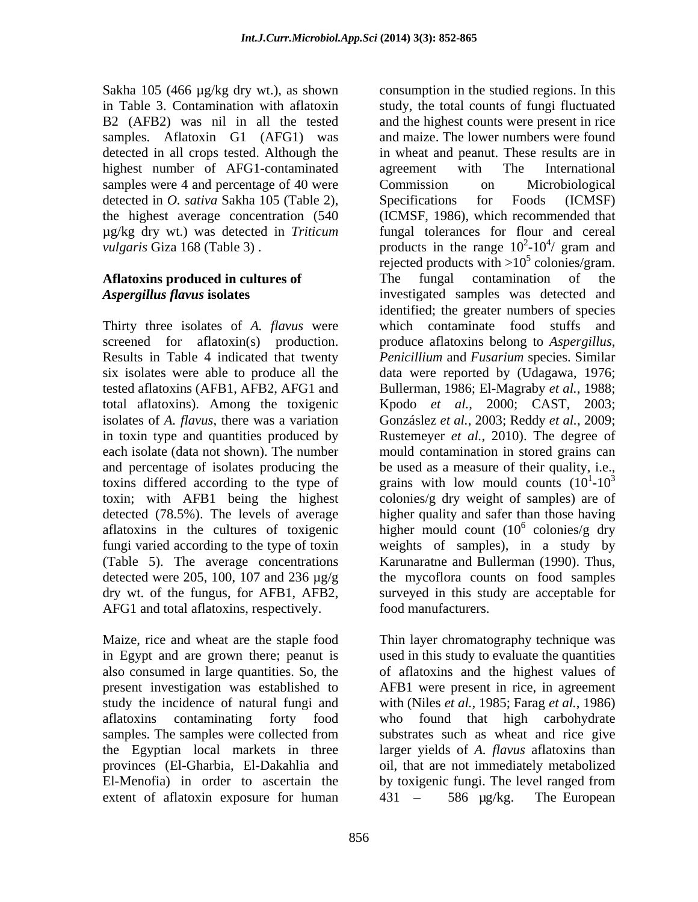Sakha 105 (466 µg/kg dry wt.), as shown consumption in the studied regions. In this highest number of AFG1-contaminated agreement with The International samples were 4 and percentage of 40 were Commission on Microbiological detected in *O. sativa* Sakha 105 (Table 2), Specifications for Foods (ICMSF) the highest average concentration (540 µg/kg dry wt.) was detected in *Triticum* 

Results in Table 4 indicated that twenty AFG1 and total aflatoxins, respectively.

also consumed in large quantities. So, the El-Menofia) in order to ascertain the by toxigenic fungi. The level ranged from extent of aflatoxin exposure for human  $431 - 586 \text{ kg/kg}$ .

in Table 3. Contamination with aflatoxin study, the total counts of fungi fluctuated B2 (AFB2) was nil in all the tested and the highest counts were present in rice samples. Aflatoxin G1 (AFG1) was and maize. The lower numbers were found detected in all crops tested. Although the in wheat and peanut. These results are in *vulgaris* Giza 168 (Table 3).  $p$  products in the range  $10^2$ - $10^4$ / gram and **Aflatoxins produced in cultures of** The fungal contamination of the *Aspergillus flavus* **isolates** investigated samples was detected and Thirty three isolates of *A. flavus* were which contaminate food stuffs and screened for aflatoxin(s) production. produce aflatoxins belong to *Aspergillus*, six isolates were able to produce all the data were reported by (Udagawa, 1976; tested aflatoxins (AFB1, AFB2, AFG1 and Bullerman, 1986; El-Magraby *et al.*, 1988; total aflatoxins). Among the toxigenic Kpodo *et al.*, 2000; CAST, 2003; isolates of *A. flavus*, there was a variation Gonzáslez *et al.*, 2003; Reddy *et al.*, 2009; in toxin type and quantities produced by Rustemeyer *et al.*, 2010). The degree of each isolate (data not shown). The number mould contamination in stored grains can and percentage of isolates producing the be used as a measure of their quality, i.e., toxins differed according to the type of grains with low mould counts  $(10<sup>1</sup> - 10<sup>3</sup>)$ toxin; with AFB1 being the highest colonies/g dry weight of samples) are of detected (78.5%). The levels of average higher quality and safer than those having aflatoxins in the cultures of toxigenic higher mould count  $(10^6 \text{ colonies/g dry})$ fungi varied according to the type of toxin weights of samples), in a study by (Table 5). The average concentrations Karunaratne and Bullerman (1990). Thus, detected were 205, 100, 107 and 236 µg/g the mycoflora counts on food samples dry wt. of the fungus, for AFB1, AFB2, surveyed in this study are acceptable for agreement with The International Commission on Microbiological Specifications for Foods (ICMSF) (ICMSF, 1986), which recommended that fungal tolerances for flour and cereal  $^{2}10^{4}$  arom and  $-10^{4}$ / gram and / gram and rejected products with  $>10^5$  colonies/gram. The fungal contamination of the identified; the greater numbers of species *Penicillium* and *Fusarium* species. Similar  $1 \t10^3$ **-**10<sup>3</sup>  $^6$  coloniac  $\sigma$  dry colonies/g dry food manufacturers.

Maize, rice and wheat are the staple food Thin layer chromatography technique was in Egypt and are grown there; peanut is used in this study to evaluate the quantities present investigation was established to AFB1 were present in rice, in agreement study the incidence of natural fungi and with (Niles *et al.,* 1985; Farag *et al.*, 1986) aflatoxins contaminating forty food who found that high carbohydrate samples. The samples were collected from substrates such as wheat and rice give the Egyptian local markets in three larger yields of *A. flavus* aflatoxins than provinces (El-Gharbia, El-Dakahlia and oil, that are not immediately metabolized of aflatoxins and the highest values of by toxigenic fungi. The level ranged from The European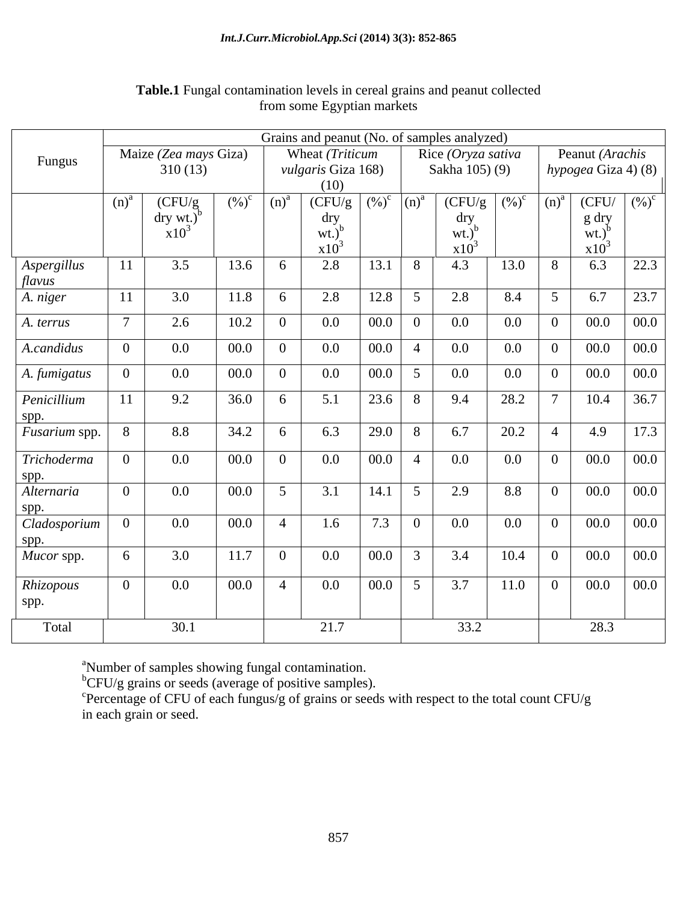|                                                                    |                |                       |          |                    | Grains and peanut (No. of samples analyzed) |                           |                 |                      |         |                           |                     |      |
|--------------------------------------------------------------------|----------------|-----------------------|----------|--------------------|---------------------------------------------|---------------------------|-----------------|----------------------|---------|---------------------------|---------------------|------|
| Fungus                                                             |                | Maize (Zea mays Giza) |          |                    | Wheat (Triticum                             |                           |                 | Rice (Oryza sativa   |         |                           | Peanut (Arachis     |      |
|                                                                    |                | 310(13)               |          |                    | vulgaris Giza 168)                          |                           |                 | Sakha 105) (9)       |         |                           | hypogea Giza 4) (8) |      |
|                                                                    |                |                       |          |                    | (10)                                        |                           |                 |                      |         |                           |                     |      |
|                                                                    | $(n)^{a}$      | (CFU/g)               | $(\%)^c$ | $\overline{(n)}^a$ | (CFU/g                                      | $(\%)^c$ (n) <sup>a</sup> |                 | $(CFU/g \mid (\%)^c$ |         | $\lfloor (n)^{a} \rfloor$ | $(CFU/ (%)^c)$      |      |
|                                                                    |                | $\text{dry wt.}$      |          |                    | dry                                         |                           |                 | dry                  |         |                           | g dry               |      |
|                                                                    |                | $x10^3$               |          |                    | $wt.^{b}$                                   |                           |                 | $wt.$ <sup>t</sup>   |         |                           | $wt.$ <sup>b</sup>  |      |
|                                                                    |                |                       |          |                    | $x10^3$                                     |                           |                 | $x10^3$              |         |                           | $x10^3$             |      |
| Aspergillus<br>flavus                                              | <sup>11</sup>  | 3.5                   | 13.6     | 6                  | 2.8                                         |                           | $13.1 \quad 8$  | 4.3                  | 13.0    | 8                         | 6.3                 | 22.3 |
| A. niger                                                           | <sup>11</sup>  | 3.0                   | 11.8     | 6                  | 2.8                                         | 12.8                      | $5\overline{)}$ | 2.8                  | 8.4     | 5 <sup>5</sup>            | 6.7                 | 23.7 |
| A. terrus                                                          | $\overline{7}$ | 2.6                   | 10.2     | $\overline{0}$     | $0.0\,$                                     | $00.0$ 0                  |                 | 0.0                  | 0.0     | $\overline{0}$            | 00.0                | 00.0 |
| A.candidus                                                         | $\overline{0}$ | $0.0\,$               | 00.0     | $\overline{0}$     | $0.0\,$                                     | 00.0                      | $\overline{4}$  | 0.0                  | $0.0\,$ | $\overline{0}$            | 00.0                | 00.0 |
| A. fumigatus                                                       | $\overline{0}$ | $0.0\,$               | 00.0     | $\overline{0}$     | $0.0\,$                                     | 00.0                      | $5\overline{)}$ | $0.0\,$              | 0.0     | $\overline{0}$            | 00.0                | 00.0 |
| Penicillium                                                        | <sup>11</sup>  | 9.2                   | 36.0     | 6                  | 5.1                                         |                           | $23.6$ 8        | 9.4                  | 28.2    | $7\phantom{.0}$           | 10.4                | 36.7 |
|                                                                    |                |                       |          |                    |                                             |                           |                 |                      |         |                           |                     |      |
| spp.<br>Fusarium spp.                                              | 8              | 8.8                   | 34.2     | 6                  | 6.3                                         | 29.0 8                    |                 | 6.7                  | 20.2    | $\overline{4}$            | 4.9                 | 17.3 |
|                                                                    |                |                       |          |                    |                                             |                           |                 |                      |         |                           |                     |      |
| Trichoderma                                                        | $\overline{0}$ | $0.0\,$               | 00.0     | $\overline{0}$     | $0.0\,$                                     |                           | $00.0$ 4        | 0.0                  | $0.0\,$ | $\overline{0}$            | 00.0                | 00.0 |
| spp.                                                               |                |                       |          |                    |                                             |                           |                 |                      |         |                           |                     |      |
| Alternaria                                                         | $\overline{0}$ | $0.0\,$               | 00.0     | $5\overline{)}$    | 3.1                                         | 14.1                      | $5\overline{)}$ | 2.9                  | 8.8     | $\overline{0}$            | 00.0                | 00.0 |
| $\begin{array}{c c} {\rm spp.} \\ {\rm Clados porium} \end{array}$ | $\overline{0}$ |                       |          |                    |                                             |                           |                 |                      |         |                           |                     |      |
|                                                                    |                | $0.0\,$               | 00.0     | $\overline{4}$     | 1.6                                         | 7.3                       | $\overline{0}$  | 0.0                  | $0.0\,$ | $\overline{0}$            | 00.0                | 00.0 |
| spp.<br>Mucor spp.                                                 | 6              | 3.0                   | 11.7     | $\overline{0}$     | $0.0\,$                                     |                           | $00.0$ 3        | 3.4                  | 10.4    | $\overline{0}$            | 00.0                | 00.0 |
|                                                                    |                |                       |          |                    |                                             |                           |                 |                      |         |                           |                     |      |
| Rhizopous                                                          | $\overline{0}$ | $0.0\,$               | 00.0     | $\overline{4}$     | $0.0\,$                                     | 00.0                      | $5\overline{)}$ | 3.7                  | 11.0    | $\overline{0}$            | 00.0                | 00.0 |
| spp.                                                               |                |                       |          |                    |                                             |                           |                 |                      |         |                           |                     |      |
| Total                                                              |                | 30.1                  |          |                    | 21.7                                        |                           |                 | 33.2                 |         |                           | 28.3                |      |
|                                                                    |                |                       |          |                    |                                             |                           |                 |                      |         |                           |                     |      |

# **Table.1** Fungal contamination levels in cereal grains and peanut collected from some Egyptian markets

<sup>a</sup>Number of samples showing fungal contamination.<br><sup>b</sup>CFU/g grains or seeds (average of positive samples).

 $\overline{C}$ Percentage of CFU of each fungus/g of grains or seeds with respect to the total count CFU/g in each grain or seed.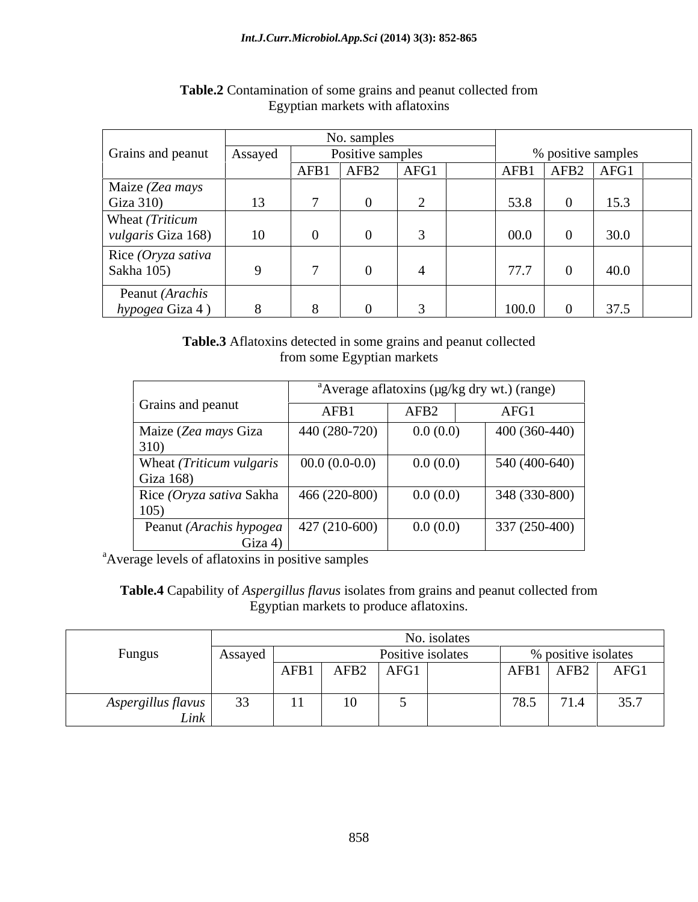|                           |         |      | No. samples      |      |       |                  |                    |
|---------------------------|---------|------|------------------|------|-------|------------------|--------------------|
| Grains and peanut         | Assayed |      | Positive samples |      |       |                  | % positive samples |
|                           |         | AFB1 | AFB <sub>2</sub> | AFG1 | AFB1  | AFB <sub>2</sub> | AFG1               |
| Maize (Zea mays           |         |      |                  |      |       |                  |                    |
| Giza $310$                |         |      |                  |      | 53.8  |                  | 15.3               |
| Wheat (Triticum           |         |      |                  |      |       |                  |                    |
| <i>vulgaris</i> Giza 168) | 10      |      |                  |      | 00.0  |                  | 30.0               |
| Rice $(Oryza sativa)$     |         |      |                  |      |       |                  |                    |
| Sakha 105)                |         |      |                  |      | 77.7  |                  | 40.0               |
| Peanut (Arachis           |         |      |                  |      |       |                  |                    |
| hypogea Giza 4            |         |      |                  |      | 100.0 |                  | 37.5               |

## **Table.2** Contamination of some grains and peanut collected from Egyptian markets with aflatoxins

**Table.3** Aflatoxins detected in some grains and peanut collected from some Egyptian markets

|                                                    |                 |                  | <sup>a</sup> Average aflatoxins ( $\mu$ g/kg dry wt.) (range) |
|----------------------------------------------------|-----------------|------------------|---------------------------------------------------------------|
| Grains and peanut                                  | AFB1            | AFB <sub>2</sub> | AFG1                                                          |
| Maize (Zea mays Giza<br>310)                       | 440 (280-720)   | 0.0(0.0)         | $400(360-440)$                                                |
| Wheat (Triticum vulgaris<br>Giza 168)              | $00.0(0.0-0.0)$ | 0.0(0.0)         | $540(400-640)$                                                |
| Rice (Oryza sativa Sakha<br>105)                   | 466 (220-800)   | 0.0(0.0)         | 348 (330-800)                                                 |
| Peanut (Arachis hypogea   427 (210-600)<br>Giza 4) |                 | 0.0(0.0)         | 337 (250-400)                                                 |

<sup>a</sup>Average levels of aflatoxins in positive samples

**Table.4** Capability of *Aspergillus flavus* isolates from grains and peanut collected from Egyptian markets to produce aflatoxins.

|                    |         | No. isolates |                  |                   |                     |      |                         |                       |  |  |
|--------------------|---------|--------------|------------------|-------------------|---------------------|------|-------------------------|-----------------------|--|--|
| Fungus             | Assayed |              |                  | Positive isolates | % positive isolates |      |                         |                       |  |  |
|                    |         | AFB1         | AFB <sub>2</sub> | AFG1              |                     | AFB1 | AFB2                    | AFG1                  |  |  |
|                    |         |              |                  |                   |                     |      |                         |                       |  |  |
| Aspergillus flavus | $\sim$  | $\mathbf{1}$ | 10               |                   |                     | 78.5 | 71 <sub>1</sub><br>11.4 | $\cap$ $\cap$<br>35.1 |  |  |
| Link               |         |              |                  |                   |                     |      |                         |                       |  |  |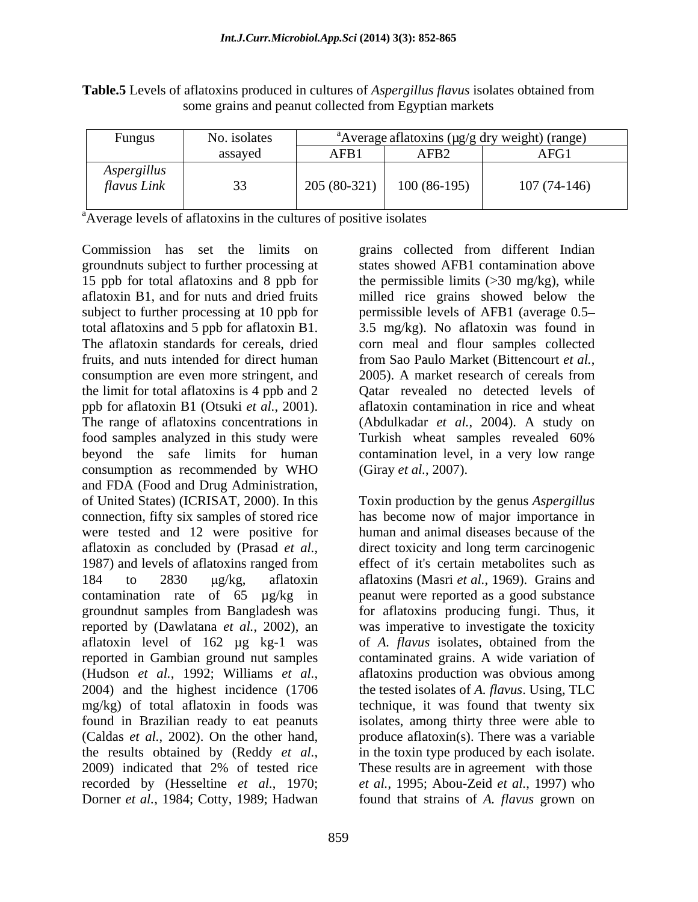| $\mathcal{L}$ ungus                    | No. isolates |                          |                  | "Average atlatoxins (µg/g dry weight) (range) |
|----------------------------------------|--------------|--------------------------|------------------|-----------------------------------------------|
|                                        | assayed      | AFB <sub>1</sub>         | AFB <sub>2</sub> | AFG1                                          |
| $\cdots$<br>Aspergillus<br>flavus Link |              | (00.221)<br>205 (80-321) | $100(86-195)$    | $107(74-146)$                                 |

**Table.5** Levels of aflatoxins produced in cultures of *Aspergillus flavus* isolates obtained from some grains and peanut collected from Egyptian markets

<sup>a</sup>Average levels of aflatoxins in the cultures of positive isolates

Commission has set the limits on exains collected from different Indian groundnuts subject to further processing at 15 ppb for total aflatoxins and 8 ppb for aflatoxin B1, and for nuts and dried fruits milled rice grains showed below the subject to further processing at 10 ppb for total aflatoxins and 5 ppb for aflatoxin B1. 3.5 mg/kg). No aflatoxin was found in The aflatoxin standards for cereals, dried corn meal and flour samples collected fruits, and nuts intended for direct human from Sao Paulo Market (Bittencourt et al., consumption are even more stringent, and  $2005$ . A market research of cereals from the limit for total aflatoxins is 4 ppb and 2 ppb for aflatoxin B1 (Otsuki *et al.*, 2001). The range of aflatoxins concentrations in (Abdulkadar *et al.*, 2004). A study on food samples analyzed in this study were Turkish wheat samples revealed 60% beyond the safe limits for human contamination level, in a very low range consumption as recommended by WHO and FDA (Food and Drug Administration, of United States) (ICRISAT, 2000). In this Toxin production by the genus *Aspergillus* connection, fifty six samples of stored rice were tested and 12 were positive for aflatoxin as concluded by (Prasad *et al.*, direct toxicity and long term carcinogenic 1987) and levels of aflatoxins ranged from effect of it's certain metabolites such as 184 to 2830  $\mu$ g/kg, aflatoxin aflatoxins (Masri *et al.*, 1969). Grains and contamination rate of 65 µg/kg in peanut were reported as a good substance groundnut samples from Bangladesh was for aflatoxins producing fungi. Thus, it reported by (Dawlatana *et al.*, 2002), an was imperative to investigate the toxicity aflatoxin level of 162 µg kg-1 was of A. flavus isolates, obtained from the reported in Gambian ground nut samples contaminated grains. A wide variation of (Hudson *et al.*, 1992; Williams *et al.*, aflatoxins production was obvious among 2004) and the highest incidence (1706 the tested isolates of *A. flavus*. Using, TLC mg/kg) of total aflatoxin in foods was technique, it was found that twenty six found in Brazilian ready to eat peanuts isolates, among thirty three were able to (Caldas *et al.*, 2002). On the other hand, produce aflatoxin(s). There was a variable the results obtained by (Reddy *et al.*, in the toxin type produced by each isolate.<br>2009) indicated that 2% of tested rice These results are in agreement with those recorded by (Hesseltine *et al.*, 1970; *et al.*, 1995; Abou-Zeid *et al.*, 1997) who Dorner *et al.*, 1984; Cotty, 1989; Hadwan found that strains of *A. flavus* grown on

grains collected from different Indian states showed AFB1 contamination above the permissible limits  $(>30 \text{ mg/kg})$ , while permissible levels of AFB1 (average 0.5 from Sao Paulo Market (Bittencourt *et al.*, 2005). <sup>A</sup> market research of cereals from Qatar revealed no detected levels of aflatoxin contamination in rice and wheat (Giray *et al.*, 2007).

has become now of major importance in human and animal diseases because of the direct toxicity and long term carcinogenic effect of it's certain metabolites such as of *A. flavus* isolates, obtained from the aflatoxins production was obvious among the tested isolates of *A. flavus*. Using, TLC in the toxin type produced by each isolate. These results are in agreement with those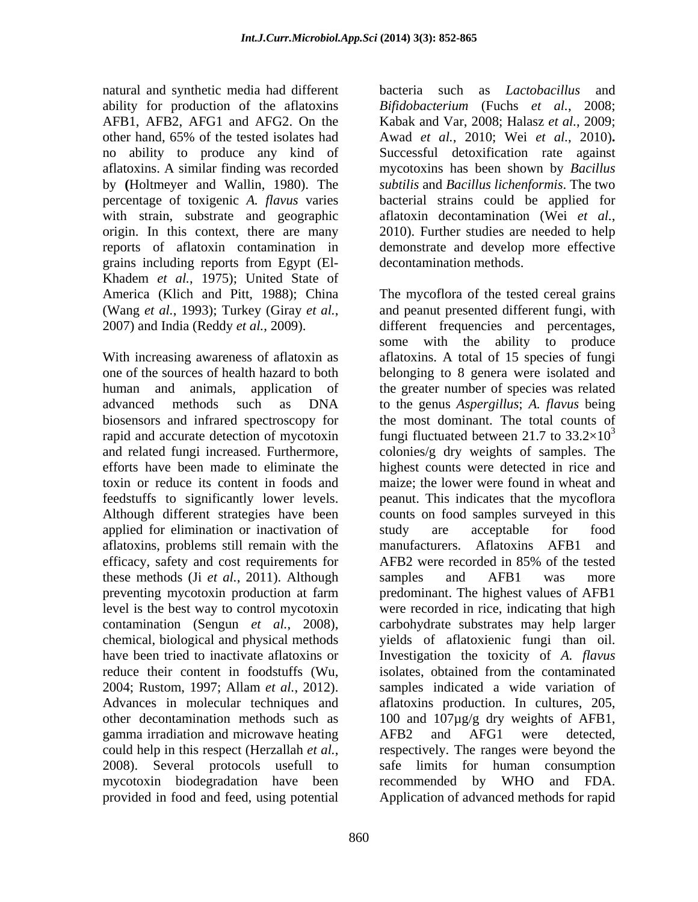natural and synthetic media had different bacteria such as *Lactobacillus* and ability for production of the aflatoxins with strain, substrate and geographic aflatoxin decontamination (Wei et al., origin. In this context, there are many 2010). Further studies are needed to help grains including reports from Egypt (El- Khadem *et al.*, 1975); United State of

rapid and accurate detection of mycotoxin applied for elimination or inactivation of study are acceptable for food aflatoxins, problems still remain with the efficacy, safety and cost requirements for AFB2 were recorded in 85% of the tested these methods (Ji *et al.*, 2011). Although preventing mycotoxin production at farm contamination (Sengun *et al.*, 2008), reduce their content in foodstuffs (Wu, isolates, obtained from the contaminated gamma irradiation and microwave heating a AFB2 and AFG1 were detected. provided in food and feed, using potential Application of advanced methods for rapid

AFB1, AFB2, AFG1 and AFG2. On the Kabak and Var, 2008; Halasz*et al.*, 2009; other hand, 65% of the tested isolates had Awad *et al.*, 2010; Wei *et al.*, 2010)**.** no ability to produce any kind of Successful detoxification rate against aflatoxins. A similar finding was recorded mycotoxins has been shown by *Bacillus*  by **(**Holtmeyer and Wallin, 1980). The *subtilis* and *Bacillus lichenformis*. The two percentage of toxigenic *A. flavus* varies bacterial strains could be applied for reports of aflatoxin contamination in demonstrate and develop more effective bacteria such as *Lactobacillus* and *Bifidobacterium* (Fuchs *et al.*, 2008; aflatoxin decontamination (Wei *et al.*, 2010). Further studies are needed to help decontamination methods.

America (Klich and Pitt, 1988); China The mycoflora of the tested cereal grains (Wang *et al.*, 1993); Turkey (Giray *et al.*, 2007) and India (Reddy *et al.*, 2009). With increasing awareness of aflatoxin as aflatoxins. A total of 15 species of fungi one of the sources of health hazard to both belonging to 8 genera were isolated and human and animals, application of the greater number of species was related advanced methods such as DNA to the genus *Aspergillus*; *A. flavus* being biosensors and infrared spectroscopy for the most dominant. The total counts of and related fungi increased. Furthermore, colonies/g dry weights of samples. The efforts have been made to eliminate the highest countswere detected in rice and toxin or reduce its content in foods and maize; the lower were found in wheat and feedstuffs to significantly lower levels. peanut. This indicates that the mycoflora Although different strategies have been counts on food samples surveyed in this level is the best way to control mycotoxin were recorded in rice, indicating that high chemical, biological and physical methods yields of aflatoxienic fungi than oil. have been tried to inactivate aflatoxins or Investigation the toxicity of *A. flavus* 2004; Rustom, 1997; Allam *et al.*, 2012). samples indicated a wide variation of Advances in molecular techniques and aflatoxins production. In cultures, 205, other decontamination methods such as 100 and 107µg/g dry weights of AFB1, could help in this respect (Herzallah *et al.*, respectively. The ranges were beyond the 2008). Several protocols usefull to safe limits for human consumption mycotoxin biodegradation have been recommended by WHO and FDA. and peanut presented different fungi, with different frequencies and percentages, some with the ability to produce fungi fluctuated between 21.7 to  $33.2\times10^{3}$ 3 study are acceptable for food manufacturers. Aflatoxins AFB1 and AFB2 were recorded in 85% of the tested samples and AFB1 was more predominant. The highest values of AFB1 carbohydrate substrates may help larger isolates, obtained from the contaminated AFB2 and AFG1 were detected, respectively. The ranges were beyond the safe limits for human consumption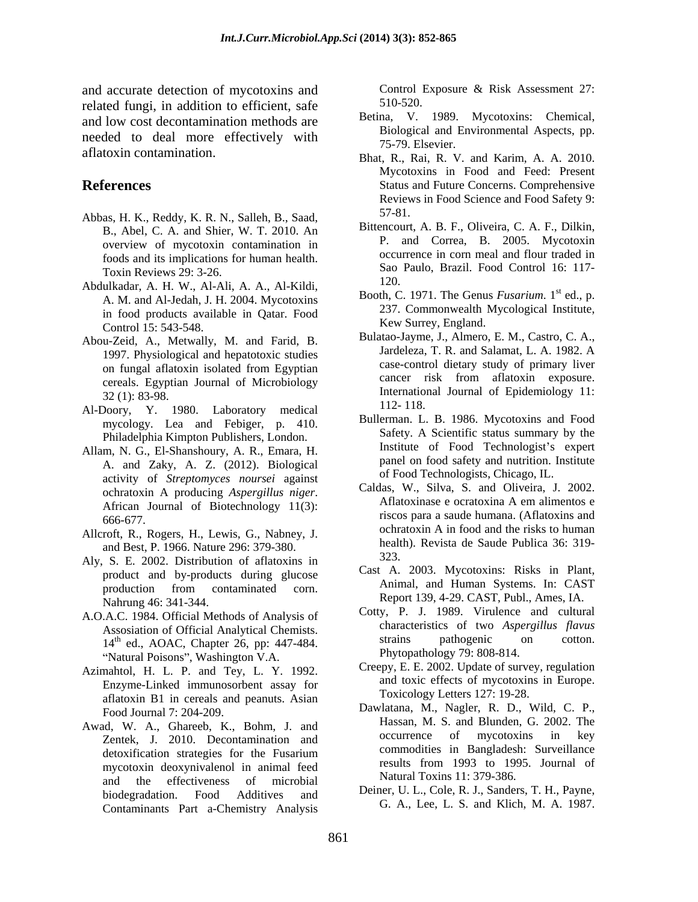and accurate detection of mycotoxins and<br>
control Exposure & Risk Assessment 27:<br>
related funci in addition to officient sofo 510-520. related fungi, in addition to efficient, safe and low cost decontamination methods are needed to deal more effectively with aflatoxin contamination.<br>Bhat, R., Rai, R. V. and Karim, A. A. 2010.

- Abbas, H. K., Reddy, K. R. N., Salleh, B., Saad, B., Abel, C. A. and Shier, W. T. 2010. An overview of mycotoxin contamination in foods and its implications for human health. Toxin Reviews 29: 3-26. Sao<br>hyllodon A, H, W, Al, Ali, A, A, Al, Eila: (20.
- Abdulkadar, A. H. W., Al-Ali, A. A., Al-Kildi, A. M. and Al-Jedah, J. H. 2004. Mycotoxins in food products available in Qatar. Food Control 15: 543-548.
- Abou-Zeid, A., Metwally, M. and Farid, B. 1997. Physiological and hepatotoxic studies
- Al-Doory, Y. 1980. Laboratory medical 112-118. mycology. Lea and Febiger, p. 410. Philadelphia Kimpton Publishers, London.
- Allam, N. G., El-Shanshoury, A. R., Emara, H. A. and Zaky, A. Z. (2012). Biological activity of *Streptomyces noursei* against
- and Best, P. 1966. Nature 296: 379-380. healt
- Aly, S. E. 2002. Distribution of aflatoxins in product and by-products during glucose Nahrung 46: 341-344. Report 139, 4-29. CAST, Publ., Ames, IA.
- A.O.A.C. 1984. Official Methods of Analysis of "Natural Poisons", Washington V.A.
- Azimahtol, H. L. P. and Tey, L. Y. 1992. Enzyme-Linked immunosorbent assay for aflatoxin B1 in cereals and peanuts. Asian
- Zentek, J. 2010. Decontamination and mycotoxin deoxynivalenol in animal feed and the effectiveness of microbial Contaminants Part a-Chemistry Analysis

Control Exposure & Risk Assessment 27: 510-520.

- Betina, V. 1989. Mycotoxins: Chemical, Biological and Environmental Aspects, pp. 75-79. Elsevier.
- **References** Status and Future Concerns. Comprehensive Mycotoxins in Food and Feed: Present Reviews in Food Science and Food Safety 9: 57-81.
	- Bittencourt, A. B. F., Oliveira, C. A. F., Dilkin, P. and Correa, B. 2005. Mycotoxin occurrence in corn meal and flour traded in Sao Paulo, Brazil. Food Control 16: 117- 120.
	- Booth, C. 1971. The Genus *Fusarium*. 1<sup>st</sup> ed., p.  $^{\text{st}}$  ed., p. 237. Commonwealth Mycological Institute, Kew Surrey, England.
	- on fungal aflatoxin isolated from Egyptian cancer risk from aflatoxin exposure.<br>
	cereals. Egyptian Journal of Microbiology<br>
	32 (1): 83-98. International Journal of Epidemiology 11: 32 (1): 83-98. International Journal of Epidemiology 11: Bulatao-Jayme, J., Almero, E. M., Castro, C. A., Jardeleza, T. R. and Salamat, L. A. 1982. A case-control dietary study of primary liver cancer risk from aflatoxin exposure. 112- 118.
		- Bullerman. L. B. 1986. Mycotoxins and Food Safety. A Scientific status summary by the Institute of Food Technologist's expert panel on food safety and nutrition. Institute of Food Technologists, Chicago, IL.
- ochratoxin A producing *Aspergillus niger*.<br>African Journal of Biotechnology 11(3): Aflatoxinase e ocratoxina A em alimentos e 666-677. riscos para a saude humana. (Aflatoxins and Allcroft, R., Rogers, H., Lewis, G., Nabney, J. ochratoxin A in food and the risks to human Caldas, W., Silva, S. and Oliveira, J. 2002. Aflatoxinase e ocratoxina A em alimentos e ochratoxin A in food and the risks to human health). Revista de Saude Publica 36: 319- 323.
	- production from contaminated corn. Animal, and Human Systems. In: CAST Cast A. 2003. Mycotoxins: Risks in Plant, Animal, and Human Systems. In: CAST
	- Assosiation of Official Analytical Chemists.<br>  $14<sup>th</sup>$  ed AOAC Chapter 26 pp: 447-484 strains pathogenic on cotton. 14<sup>th</sup> ed., AOAC, Chapter 26, pp: 447-484. strains pathogenic on cotton. Cotty, P. J. 1989. Virulence and cultural characteristics of two *Aspergillus flavus* strains pathogenic on cotton. Phytopathology 79: 808-814.
		- Creepy, E. E. 2002. Update of survey, regulation and toxic effects of mycotoxins in Europe. Toxicology Letters 127: 19-28.
- Food Journal 7: 204-209. Dawlatana, M., Nagler, R. D., Wild, C. P., Awad, W. A., Ghareeb, K., Bohm, J. and Hassan, M. S. and Blunden, G. 2002. The Research L. 2010. Deceptemination and cocurrence of mycotoxins in key detoxification strategies for the Fusarium commodities in Bangiages in Surventing Hassan, M. S. and Blunden, G. 2002. The occurrence of mycotoxins in key commodities in Bangladesh: Surveillance results from 1993 to 1995. Journal of Natural Toxins 11: 379-386.
	- biodegradation. Food Additives and Deller, U. L., Cole, R. J., Sanders, T. H., Payne, Deiner, U. L., Cole, R. J., Sanders, T. H., Payne, G. A., Lee, L. S. and Klich, M. A. 1987.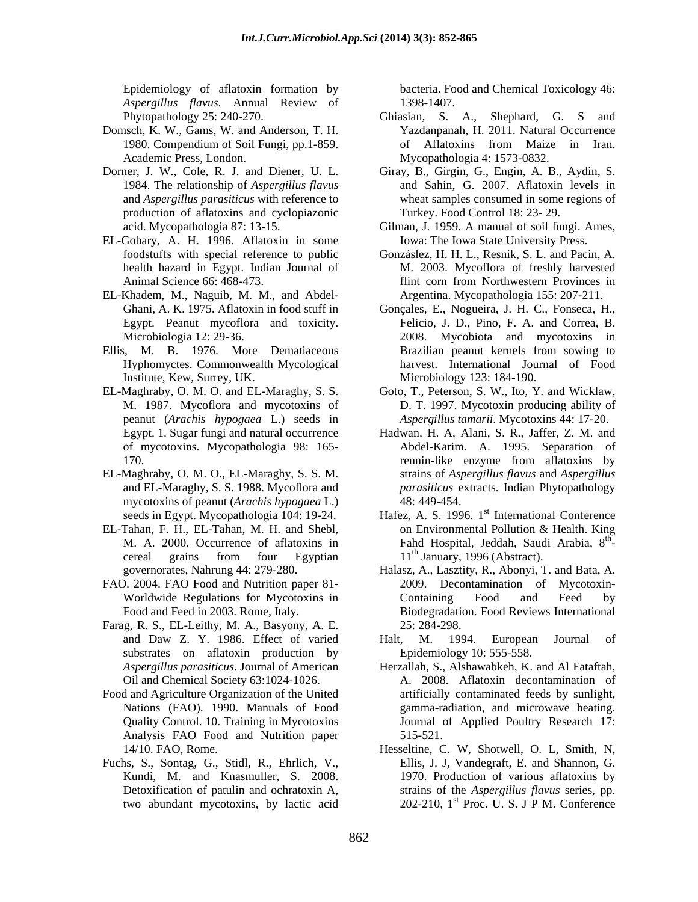*Aspergillus flavus*. Annual Review of

- Domsch, K. W., Gams, W. and Anderson, T. H.
- production of aflatoxins and cyclopiazonic
- EL-Gohary, A. H. 1996. Aflatoxin in some
- EL-Khadem, M., Naguib, M. M., and Abdel-
- Ellis, M. B. 1976. More Dematiaceous
- EL-Maghraby, O. M. O. and EL-Maraghy, S. S. Goto, T., Peterson, S. W., Ito, Y. and Wicklaw, peanut (*Arachis hypogaea* L.) seeds in
- EL-Maghraby, O. M. O., EL-Maraghy, S. S. M. mycotoxins of peanut (*Arachis hypogaea* L.) seeds in Egypt. Mycopathologia 104: 19-24. Hafez, A. S. 1996. 1<sup>st</sup> International Conference
- 
- FAO. 2004. FAO Food and Nutrition paper 81-
- Farag, R. S., EL-Leithy, M. A., Basyony, A. E. substrates on aflatoxin production by
- Food and Agriculture Organization of the United Analysis FAO Food and Nutrition paper 515-521.
- Fuchs, S., Sontag, G., Stidl, R., Ehrlich, V., two abundant mycotoxins, by lactic acid

Epidemiology of aflatoxin formation by bacteria. Food and Chemical Toxicology 46: 1398-1407.

- Phytopathology 25: 240-270. Ghiasian, S. A., Shephard, G. S and 1980. Compendium of Soil Fungi, pp.1-859. Academic Press, London. Mycopathologia 4: 1573-0832. Yazdanpanah, H. 2011. Natural Occurrence of Aflatoxins from Maize in Iran.
- Dorner, J. W., Cole, R. J. and Diener, U. L. Giray, B., Girgin, G., Engin, A. B., Aydin, S. 1984. The relationship of *Aspergillus flavus* and Sahin, G. 2007. Aflatoxin levels in and *Aspergillus parasiticus* with reference to wheat samples consumed in some regions of Turkey. Food Control 18: 23- 29.
	- acid. Mycopathologia 87: 13-15. Gilman, J. 1959. A manual of soil fungi. Ames, Iowa: The Iowa State University Press.
	- foodstuffs with special reference to public Gonzáslez, H. H. L., Resnik, S. L. and Pacin, A. health hazard in Egypt. Indian Journal of M. 2003. Mycoflora of freshly harvested Animal Science 66: 468-473. flint corn from Northwestern Provinces in Argentina. Mycopathologia 155: 207-211.
	- Ghani, A. K. 1975. Aflatoxin in food stuff in Gonçales, E., Nogueira, J. H. C., Fonseca, H., Egypt. Peanut mycoflora and toxicity. Felicio, J. D., Pino, F. A. and Correa, B. Microbiologia 12: 29-36. 2008. Mycobiota and mycotoxins in Hyphomyctes. Commonwealth Mycological harvest. International Journal of Food Institute, Kew, Surrey, UK. Microbiology 123: 184-190. Brazilian peanut kernels from sowing to
	- M. 1987. Mycoflora and mycotoxins of D. T. 1997. Mycotoxin producing ability of *Aspergillus tamarii*. Mycotoxins 44: 17-20.
	- Egypt. 1. Sugar fungi and natural occurrence Hadwan. H. A, Alani, S. R., Jaffer, Z. M. and of mycotoxins. Mycopathologia 98: 165- Abdel-Karim. A. 1995. Separation of 170. **170. 170. 170. 170. 170. 170. 170. 170. 170. 170. 170. 170. 170. 170. 170. 170. 170. 170. 170. 170. 170. 170. 170. 170. 170. 170. 170. 170. 170. 170. 170.** and EL-Maraghy, S. S. 1988. Mycoflora and *parasiticus* extracts. Indian Phytopathology rennin-like enzyme from aflatoxins by strains of *Aspergillus flavus* and *Aspergillus*  48: 449-454.
- EL-Tahan, F. H., EL-Tahan, M. H. and Shebl, M. A. 2000. Occurrence of aflatoxins in Fahd Hospital, Jeddah, Saudi Arabia, 8 cereal grains from four Egyptian  $11^{\text{th}}$  January, 1996 (Abstract). on Environmental Pollution & Health. King th e a construction de la proposition de la proposition de la proposition de la proposition de la proposition de<br>La proposition de la proposition de la proposition de la proposition de la proposition de la proposition de la  $11<sup>th</sup>$  January, 1996 (Abstract).
	- governorates, Nahrung 44: 279-280. Halasz, A., Lasztity, R., Abonyi, T. and Bata, A. Worldwide Regulations for Mycotoxins in Total and Treed by a Containing Food and Feed by Food and Feed in 2003. Rome, Italy. Biodegradation. Food Reviews International 2009. Decontamination of Mycotoxin- Containing Food and Feed by 25: 284-298.
	- and Daw Z. Y. 1986. Effect of varied Halt, M. 1994. European Journal of Epidemiology 10: 555-558.
	- *Aspergillus parasiticus*. Journal of American Herzallah, S., Alshawabkeh, K. and Al Fataftah, Oil and Chemical Society 63:1024-1026. A. 2008. Aflatoxin decontamination of Nations (FAO). 1990. Manuals of Food gamma-radiation, and microwave heating. Quality Control. 10. Training in Mycotoxins Journal of Applied Poultry Research 17: artificially contaminated feeds by sunlight, 515-521.
	- 14/10. FAO, Rome. Hesseltine, C. W, Shotwell, O. L, Smith, N, Kundi, M. and Knasmuller, S. 2008. 1970. Production of various aflatoxins by Detoxification of patulin and ochratoxin A, strains of the *Aspergillus flavus* series, pp. Ellis, J. J, Vandegraft, E. and Shannon, G. 202-210,  $1<sup>st</sup>$  Proc. U. S. J P M. Conference st Proc. U. S. J P M. Conference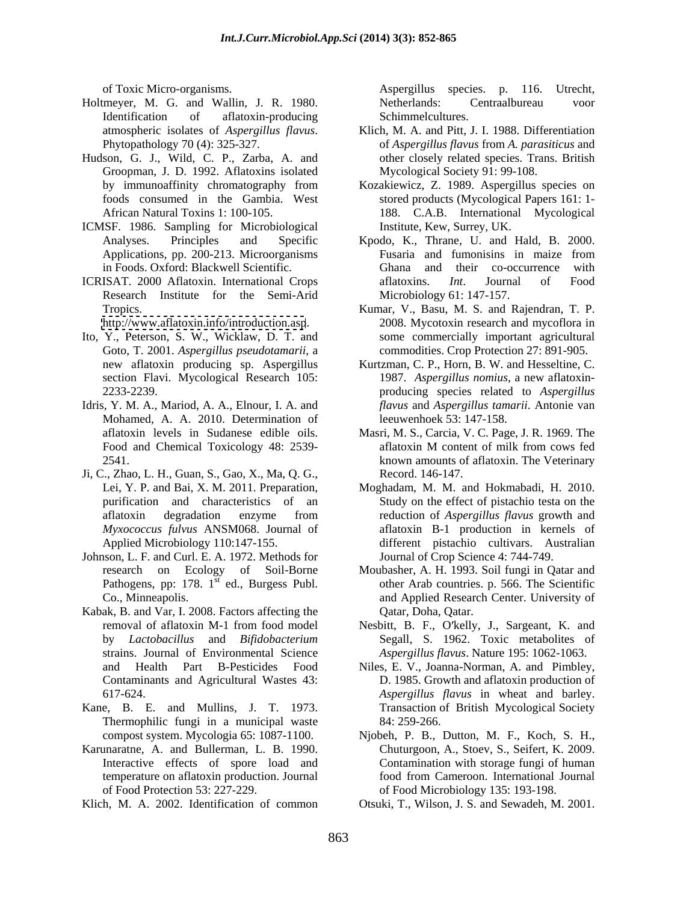- Holtmeyer, M. G. and Wallin, J. R. 1980. Identification of aflatoxin-producing Schimmelcultures.
- Hudson, G. J., Wild, C. P., Zarba, A. and Groopman, J. D. 1992. Aflatoxins isolated
- ICMSF. 1986. Sampling for Microbiological
- Research Institute for the Semi-Arid

<http://www.aflatoxin.info/introduction.asp>.

- Ito, Y., Peterson, S. W., Wicklaw, D. T. and Goto, T. 2001. *Aspergillus pseudotamarii*, a
- Idris, Y. M. A., Mariod, A. A., Elnour, I. A. and Mohamed, A. A. 2010. Determination of aflatoxin levels in Sudanese edible oils.
- Ji, C., Zhao, L. H., Guan, S., Gao, X., Ma, Q. G.,
- Johnson, L. F. and Curl. E. A. 1972. Methods for<br>research on Ecology of Soil-Borne Pathogens, pp:  $178.1<sup>st</sup>$  ed., Burgess Publ.
- Kabak, B. and Var, I. 2008. Factors affecting the strains. Journal of Environmental Science *Aspergillus flavus*. Nature 195: 1062-1063.
- Kane, B. E. and Mullins, J. T. 1973. Thermophilic fungi in a municipal waste 84: 259-266.
- Karunaratne, A. and Bullerman, L. B. 1990. Chuturgoon, A., Stoev, S., Seifert, K. 2009. Interactive effects of spore load and temperature on aflatoxin production. Journal
- Klich, M. A. 2002. Identification of common Otsuki, T., Wilson, J. S. and Sewadeh, M. 2001.

of Toxic Micro-organisms. Aspergillus species. p. 116. Utrecht, Netherlands: Centraalbureau voor Schimmelcultures.

- atmospheric isolates of *Aspergillus flavus*. Klich, M. A. and Pitt, J. I. 1988. Differentiation<br>Phytopathology 70 (4): 325-327. only of *Aspergillus flavus* from *A. parasiticus* and Klich, M. A. and Pitt, J. I. 1988. Differentiation of *Aspergillus flavus* from *A. parasiticus* and other closely related species. Trans. British Mycological Society 91: 99-108.
- by immunoaffinity chromatography from Kozakiewicz, Z. 1989. Aspergillus species on foods consumed in the Gambia. West stored products (Mycological Papers 161: 1- African Natural Toxins 1: 100-105. 188. C.A.B. International Mycological Institute, Kew, Surrey, UK.
- Analyses. Principles and Specific Kpodo, K., Thrane, U. and Hald, B. 2000. Applications, pp. 200-213. Microorganisms Fusaria and fumonisins in maize from in Foods. Oxford: Blackwell Scientific. Ghana and their co-occurrence with ICRISAT. 2000 Aflatoxin. International Crops aflatoxins. *Int*. Journal of Food Fusaria and fumonisins in maize from aflatoxins. *Int*. Journal of Food Microbiology 61: 147-157.
	- Tropics. Kumar, V., Basu, M. S. and Rajendran, T. P. 2008. Mycotoxin research and mycoflora in some commercially important agricultural commodities. Crop Protection 27: 891-905.
	- new aflatoxin producing sp. Aspergillus Kurtzman, C. P., Horn, B. W. and Hesseltine, C. section Flavi. Mycological Research 105: 1987. *Aspergillus nomius*, a new aflatoxin- 2233-2239. producing species related to *Aspergillus flavus* and *Aspergillus tamarii*. Antonie van leeuwenhoek 53: 147-158.
	- aflatoxin levels in Sudanese edible oils. Masri, M. S., Carcia, V. C. Page, J. R. 1969. The Food and Chemical Toxicology 48: 2539- aflatoxin M content of milk from cows fed 2541. known amounts of aflatoxin. The Veterinary aflatoxin M content of milk from cows fed Record. 146-147.
	- Lei, Y. P. and Bai, X. M. 2011. Preparation, Moghadam, M. M. and Hokmabadi, H. 2010. purification and characteristics of an Study on the effect of pistachio testa on the aflatoxin degradation enzyme from reduction of *Aspergillus flavus* growth and *Myxococcus fulvus* ANSM068. Journal of aflatoxin B-1 production in kernels of Applied Microbiology 110:147-155. different pistachio cultivars. Australian reduction of *Aspergillus flavus* growth and Journal of Crop Science 4: 744-749.
	- research on Ecology of Soil-Borne Moubasher, A. H. 1993. Soil fungi in Qatar and  $\frac{\pi}{10}$  ed., Burgess Publ. other Arab countries. p. 566. The Scientific Co., Minneapolis. and Applied Research Center. University of Qatar, Doha, Qatar.
	- removal of aflatoxin M-1 from food model Nesbitt, B. F., O kelly, J., Sargeant, K. and by *Lactobacillus* and *Bifidobacterium* Segall, S. 1962. Toxic metabolites of
	- and Health Part B-Pesticides Food Niles, E. V., Joanna-Norman, A. and Pimbley, Contaminants and Agricultural Wastes 43: D. 1985. Growth and aflatoxin production of 617-624. *Aspergillus flavus* in wheat and barley. Transaction of British Mycological Society 84: 259-266.
	- compost system. Mycologia 65: 1087-1100. Njobeh, P. B., Dutton, M. F., Koch, S. H., of Food Protection 53: 227-229. of Food Microbiology 135: 193-198. Contamination with storage fungi of human food from Cameroon. International Journal
		-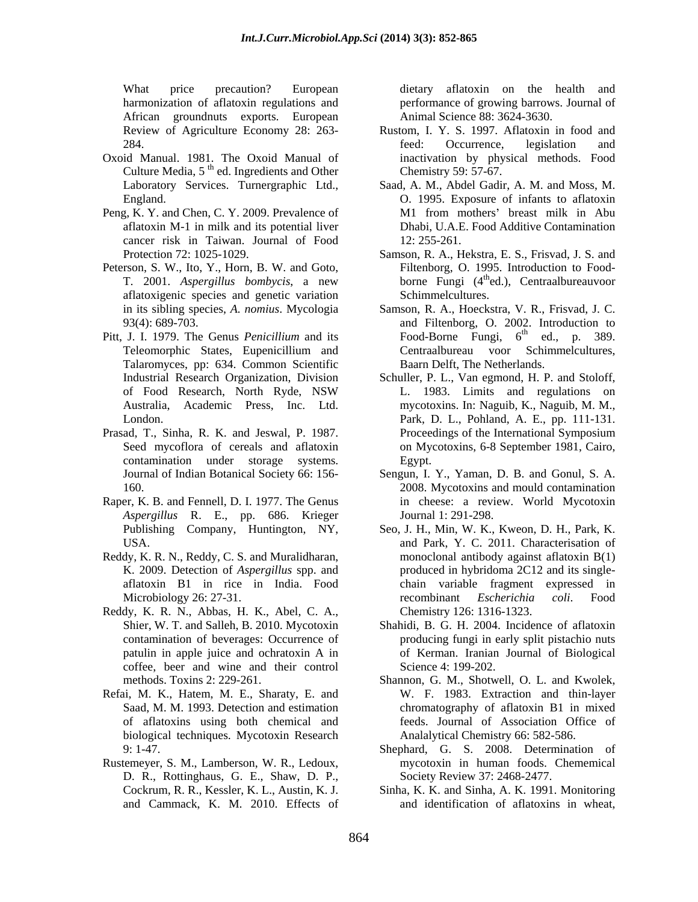harmonization of aflatoxin regulations and performance of growing barrows. Journalof African groundnuts exports. European Review of Agriculture Economy 28: 263-

- Oxoid Manual. 1981. The Oxoid Manual of Culture Media,  $5^{th}$  ed. Ingredients and Other Chemistry 59: 57-67.
- Peng, K. Y. and Chen, C. Y. 2009. Prevalence of aflatoxin M-1 in milk and its potential liver cancer risk in Taiwan. Journal of Food
- Peterson, S. W., Ito, Y., Horn, B. W. and Goto, T. 2001. *Aspergillus bombycis*, a new aflatoxigenic species and genetic variation
- Pitt, J. I. 1979. The Genus *Penicillium* and its Talaromyces, pp: 634. Common Scientific
- contamination under storage systems.
- Raper, K. B. and Fennell, D. I. 1977. The Genus *Aspergillus* R. E., pp. 686. Krieger Publishing Company, Huntington, NY,
- Reddy, K. R. N., Reddy, C. S. and Muralidharan,
- Reddy, K. R. N., Abbas, H. K., Abel, C. A., coffee, beer and wine and their control
- Refai, M. K., Hatem, M. E., Sharaty, E. and biological techniques. Mycotoxin Research
- Rustemeyer, S. M., Lamberson, W. R., Ledoux, D. R., Rottinghaus, G. E., Shaw, D. P., and Cammack, K. M. 2010. Effects of

What price precaution? European dietary aflatoxin on the health and Animal Science 88: 3624-3630.

- 284. **284. 284. 284. 284. 284. 284. 284. 284. 284. 284. 284. 284. 284. 284. 284. 284. 284. 284. 284. 284. 284. 284. 284. 284. 284. 284. 284. 284. 284. 284. 284.** Rustom, I. Y. S. 1997. Aflatoxin in food and feed: Occurrence, legislation and inactivation by physical methods. Food Chemistry 59: 57-67.
- Laboratory Services. Turnergraphic Ltd., Saad, A. M., Abdel Gadir, A. M. and Moss, M. England. O. 1995. Exposure of infants to aflatoxin M1 from mothers' breast milk in Abu Dhabi, U.A.E. Food Additive Contamination 12: 255-261.
- Protection 72: 1025-1029. Samson, R. A., Hekstra, E. S., Frisvad, J. S. and Filtenborg, O. 1995. Introduction to Food borne Fungi (4<sup>th</sup>ed.), Centraalbureauvoor Schimmelcultures.
- in its sibling species, *A. nomius*. Mycologia Samson, R. A., Hoeckstra, V. R., Frisvad, J. C. 93(4): 689-703. and Filtenborg, O. 2002. Introduction to Teleomorphic States, Eupenicillium and Food-Borne Fungi,  $6^{th}$  ed., p. 389.  $th$  and n 290 ed., p. 389. Centraalbureau voor Schimmelcultures, Baarn Delft, The Netherlands.
- Industrial Research Organization, Division Schuller, P. L., Van egmond, H. P. and Stoloff, of Food Research, North Ryde, NSW Australia, Academic Press, Inc. Ltd. mycotoxins. In: Naguib, K., Naguib, M. M., London. Park, D. L., Pohland, A. E., pp. 111-131. Prasad, T., Sinha, R. K. and Jeswal, P. 1987. Seed mycoflora of cereals and aflatoxin on Mycotoxins, 6-8 September 1981, Cairo, L. 1983. Limits and regulations on Proceedings of the International Symposium Egypt.
	- Journal of Indian Botanical Society 66: 156- Sengun, I. Y., Yaman, D. B. and Gonul, S. A. 160. 2008. Mycotoxins and mould contamination in cheese: a review. World Mycotoxin Journal 1: 291-298.
	- USA. and Park, Y. C. 2011. Characterisation of K. 2009. Detection of *Aspergillus* spp. and produced in hybridoma 2C12 and its single aflatoxin B1 in rice in India. Food chain variable fragment expressed in Microbiology 26: 27-31. The recombinant Escherichia coli. Food Seo, J. H., Min, W. K., Kweon, D. H., Park, K. monoclonal antibody against aflatoxin B(1) recombinant *Escherichia coli*. Food Chemistry 126: 1316-1323.
	- Shier, W. T. and Salleh, B. 2010. Mycotoxin Shahidi, B. G. H. 2004. Incidence of aflatoxin contamination of beverages: Occurrence of producing fungi in early split pistachio nuts patulin in apple juice and ochratoxin A in of Kerman. Iranian Journal of Biological Science 4: 199-202.
	- methods. Toxins 2: 229-261. Shannon, G. M., Shotwell, O. L. and Kwolek, Saad, M. M. 1993. Detection and estimation chromatography of aflatoxin B1 in mixed of aflatoxins using both chemical and feeds. Journal of Association Office of W. F. 1983. Extraction and thin-layer Analalytical Chemistry 66: 582-586.
	- 9: 1-47. Shephard, G. S. 2008. Determination of mycotoxin in human foods. Chememical Society Review 37: 2468-2477.
	- Cockrum, R. R., Kessler, K. L., Austin, K. J. Sinha, K. K. and Sinha, A. K. 1991. Monitoring and identification of aflatoxins in wheat,